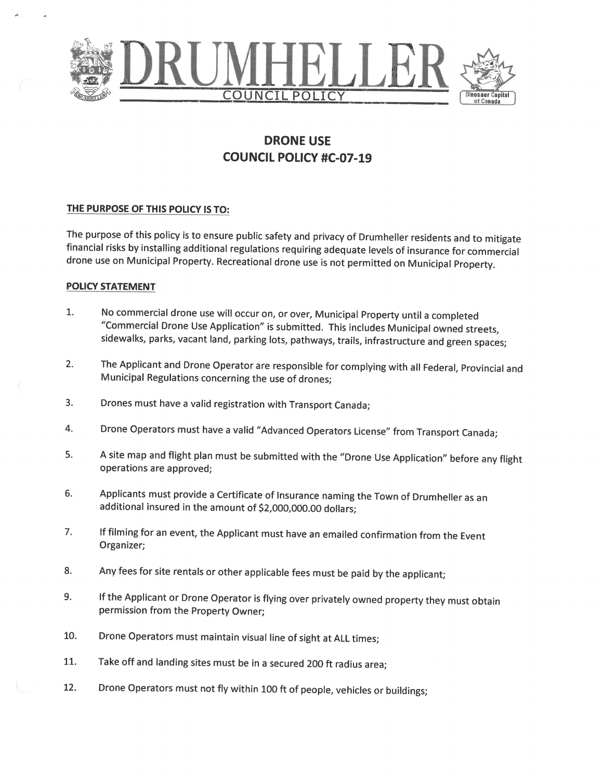

# **DRONE USE COUNCIL POLICY #C-07-19**

### THE PURPOSE OF THIS POLICY IS TO:

The purpose of this policy is to ensure public safety and privacy of Drumheller residents and to mitigate financial risks by installing additional regulations requiring adequate levels of insurance for commercial drone use on Municipal Property. Recreational drone use is not permitted on Municipal Property.

### **POLICY STATEMENT**

- No commercial drone use will occur on, or over, Municipal Property until a completed 1. "Commercial Drone Use Application" is submitted. This includes Municipal owned streets, sidewalks, parks, vacant land, parking lots, pathways, trails, infrastructure and green spaces;
- The Applicant and Drone Operator are responsible for complying with all Federal, Provincial and  $2.$ Municipal Regulations concerning the use of drones;
- $3.$ Drones must have a valid registration with Transport Canada;
- 4. Drone Operators must have a valid "Advanced Operators License" from Transport Canada;
- 5. A site map and flight plan must be submitted with the "Drone Use Application" before any flight operations are approved;
- 6. Applicants must provide a Certificate of Insurance naming the Town of Drumheller as an additional insured in the amount of \$2,000,000.00 dollars;
- If filming for an event, the Applicant must have an emailed confirmation from the Event 7. Organizer;
- 8. Any fees for site rentals or other applicable fees must be paid by the applicant;
- If the Applicant or Drone Operator is flying over privately owned property they must obtain 9. permission from the Property Owner;
- 10. Drone Operators must maintain visual line of sight at ALL times;
- 11. Take off and landing sites must be in a secured 200 ft radius area;
- 12. Drone Operators must not fly within 100 ft of people, vehicles or buildings;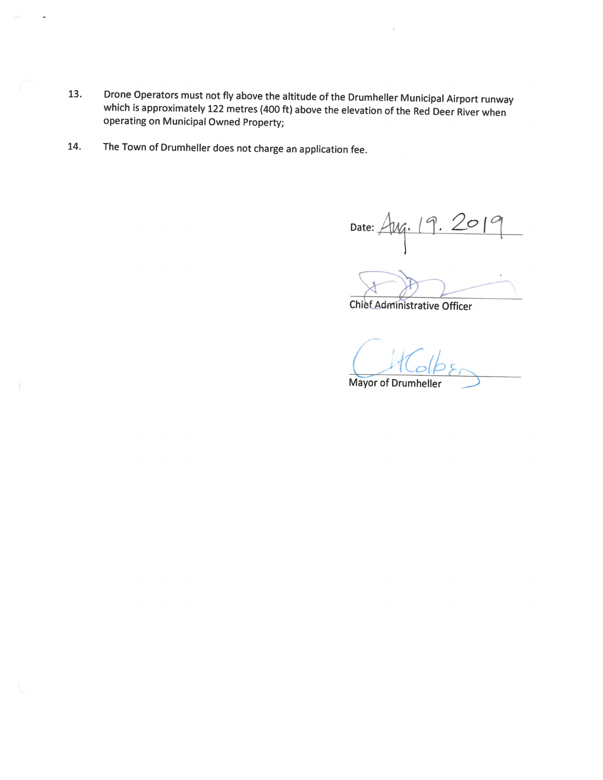- Drone Operators must not fly above the altitude of the Drumheller Municipal Airport runway 13. which is approximately 122 metres (400 ft) above the elevation of the Red Deer River when operating on Municipal Owned Property;
- The Town of Drumheller does not charge an application fee. 14.

**A** 

Date: Aug. 19. 20

**Chief Administrative Officer** 

**Mayor of Drumheller**